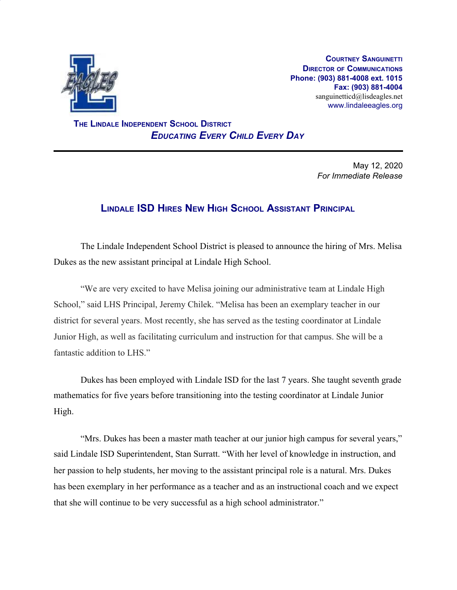

**COURTNEY SANGUINETTI DIRECTOR OF COMMUNICATIONS Phone: (903) 881-4008 ext. 1015 Fax: (903) 881-4004** sanguinetticd@lisdeagles.net www.lindaleeagles.org

 **THE LINDALE INDEPENDENT SCHOOL DISTRICT** *EDUCATING EVERY CHILD EVERY DAY*

> May 12, 2020 *For Immediate Release*

## **LINDALE ISD HIRES NEW HIGH SCHOOL ASSISTANT PRINCIPAL**

The Lindale Independent School District is pleased to announce the hiring of Mrs. Melisa Dukes as the new assistant principal at Lindale High School.

"We are very excited to have Melisa joining our administrative team at Lindale High School," said LHS Principal, Jeremy Chilek. "Melisa has been an exemplary teacher in our district for several years. Most recently, she has served as the testing coordinator at Lindale Junior High, as well as facilitating curriculum and instruction for that campus. She will be a fantastic addition to LHS."

Dukes has been employed with Lindale ISD for the last 7 years. She taught seventh grade mathematics for five years before transitioning into the testing coordinator at Lindale Junior High.

"Mrs. Dukes has been a master math teacher at our junior high campus for several years," said Lindale ISD Superintendent, Stan Surratt. "With her level of knowledge in instruction, and her passion to help students, her moving to the assistant principal role is a natural. Mrs. Dukes has been exemplary in her performance as a teacher and as an instructional coach and we expect that she will continue to be very successful as a high school administrator."